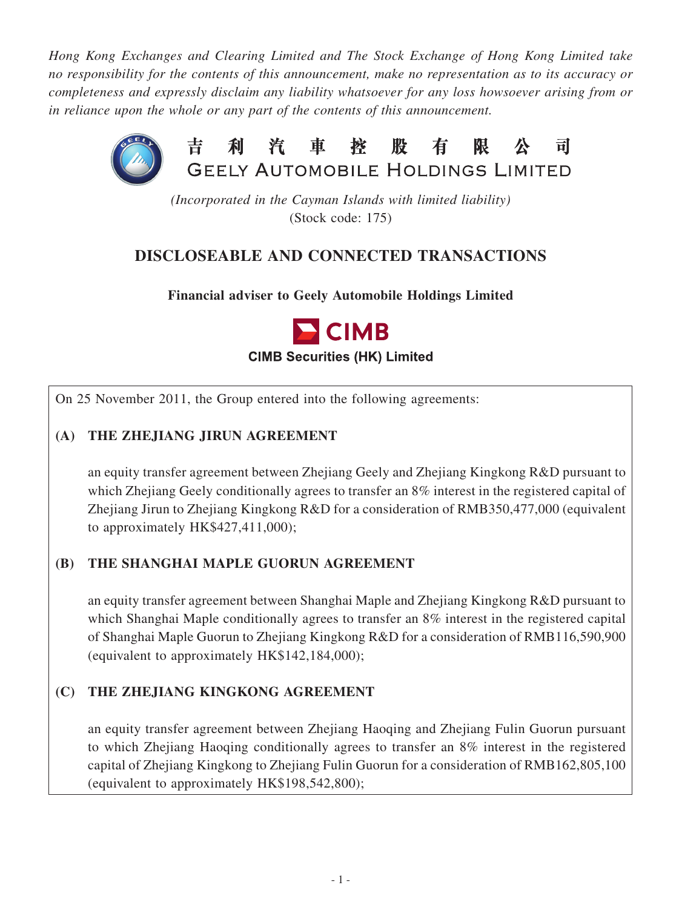*Hong Kong Exchanges and Clearing Limited and The Stock Exchange of Hong Kong Limited take no responsibility for the contents of this announcement, make no representation as to its accuracy or completeness and expressly disclaim any liability whatsoever for any loss howsoever arising from or in reliance upon the whole or any part of the contents of this announcement.*



*(Incorporated in the Cayman Islands with limited liability)* (Stock code: 175)

# **DISCLOSEABLE AND CONNECTED TRANSACTIONS**

**Financial adviser to Geely Automobile Holdings Limited**



On 25 November 2011, the Group entered into the following agreements:

## **(a) the Zhejiang Jirun Agreement**

an equity transfer agreement between Zhejiang Geely and Zhejiang Kingkong R&D pursuant to which Zhejiang Geely conditionally agrees to transfer an 8% interest in the registered capital of Zhejiang Jirun to Zhejiang Kingkong R&D for a consideration of RMB350,477,000 (equivalent to approximately HK\$427,411,000);

## **(b) the Shanghai Maple Guorun Agreement**

an equity transfer agreement between Shanghai Maple and Zhejiang Kingkong R&D pursuant to which Shanghai Maple conditionally agrees to transfer an 8% interest in the registered capital of Shanghai Maple Guorun to Zhejiang Kingkong R&D for a consideration of RMB116,590,900 (equivalent to approximately HK\$142,184,000);

## **(c) the Zhejiang Kingkong Agreement**

an equity transfer agreement between Zhejiang Haoqing and Zhejiang Fulin Guorun pursuant to which Zhejiang Haoqing conditionally agrees to transfer an 8% interest in the registered capital of Zhejiang Kingkong to Zhejiang Fulin Guorun for a consideration of RMB162,805,100 (equivalent to approximately HK\$198,542,800);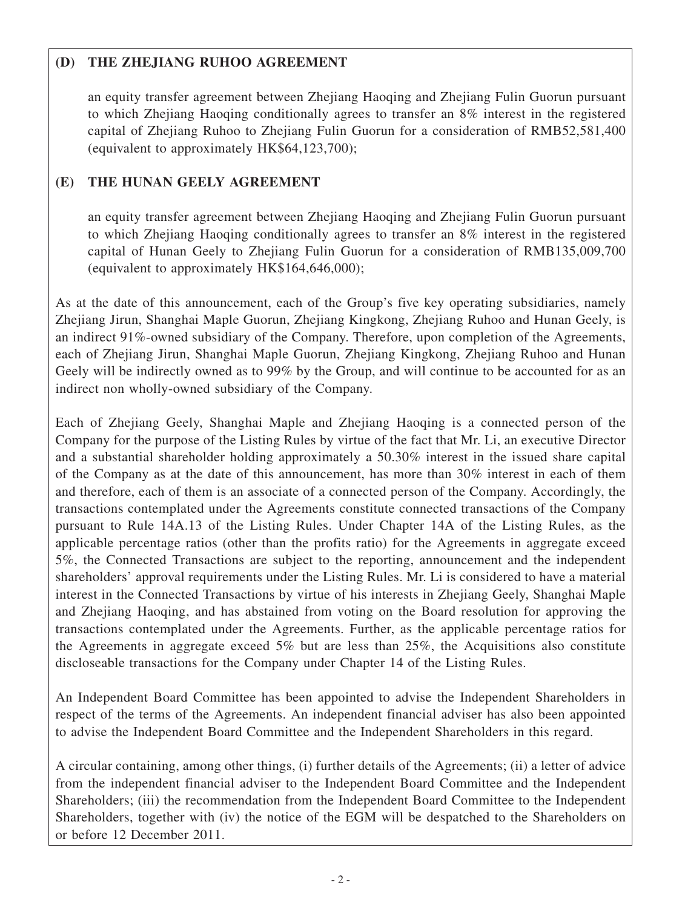## **(d) the Zhejiang Ruhoo Agreement**

an equity transfer agreement between Zhejiang Haoqing and Zhejiang Fulin Guorun pursuant to which Zhejiang Haoqing conditionally agrees to transfer an 8% interest in the registered capital of Zhejiang Ruhoo to Zhejiang Fulin Guorun for a consideration of RMB52,581,400 (equivalent to approximately HK\$64,123,700);

## **(e) the Hunan Geely Agreement**

an equity transfer agreement between Zhejiang Haoqing and Zhejiang Fulin Guorun pursuant to which Zhejiang Haoqing conditionally agrees to transfer an 8% interest in the registered capital of Hunan Geely to Zhejiang Fulin Guorun for a consideration of RMB135,009,700 (equivalent to approximately HK\$164,646,000);

As at the date of this announcement, each of the Group's five key operating subsidiaries, namely Zhejiang Jirun, Shanghai Maple Guorun, Zhejiang Kingkong, Zhejiang Ruhoo and Hunan Geely, is an indirect 91%-owned subsidiary of the Company. Therefore, upon completion of the Agreements, each of Zhejiang Jirun, Shanghai Maple Guorun, Zhejiang Kingkong, Zhejiang Ruhoo and Hunan Geely will be indirectly owned as to 99% by the Group, and will continue to be accounted for as an indirect non wholly-owned subsidiary of the Company.

Each of Zhejiang Geely, Shanghai Maple and Zhejiang Haoqing is a connected person of the Company for the purpose of the Listing Rules by virtue of the fact that Mr. Li, an executive Director and a substantial shareholder holding approximately a 50.30% interest in the issued share capital of the Company as at the date of this announcement, has more than 30% interest in each of them and therefore, each of them is an associate of a connected person of the Company. Accordingly, the transactions contemplated under the Agreements constitute connected transactions of the Company pursuant to Rule 14A.13 of the Listing Rules. Under Chapter 14A of the Listing Rules, as the applicable percentage ratios (other than the profits ratio) for the Agreements in aggregate exceed 5%, the Connected Transactions are subject to the reporting, announcement and the independent shareholders' approval requirements under the Listing Rules. Mr. Li is considered to have a material interest in the Connected Transactions by virtue of his interests in Zhejiang Geely, Shanghai Maple and Zhejiang Haoqing, and has abstained from voting on the Board resolution for approving the transactions contemplated under the Agreements. Further, as the applicable percentage ratios for the Agreements in aggregate exceed 5% but are less than 25%, the Acquisitions also constitute discloseable transactions for the Company under Chapter 14 of the Listing Rules.

An Independent Board Committee has been appointed to advise the Independent Shareholders in respect of the terms of the Agreements. An independent financial adviser has also been appointed to advise the Independent Board Committee and the Independent Shareholders in this regard.

A circular containing, among other things, (i) further details of the Agreements; (ii) a letter of advice from the independent financial adviser to the Independent Board Committee and the Independent Shareholders; (iii) the recommendation from the Independent Board Committee to the Independent Shareholders, together with (iv) the notice of the EGM will be despatched to the Shareholders on or before 12 December 2011.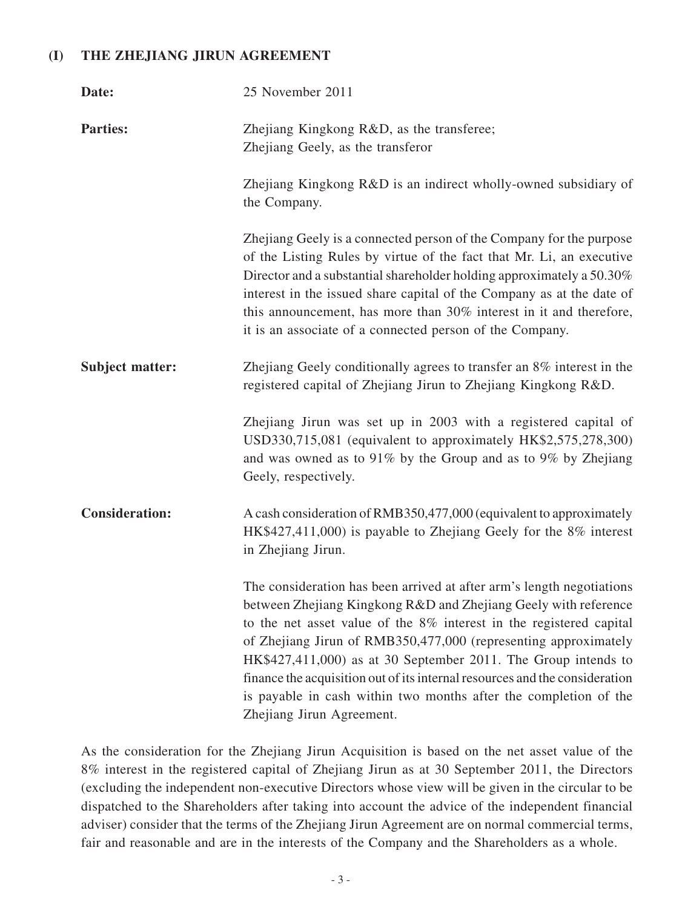#### **(I) The Zhejiang Jirun Agreement**

| Date:                  | 25 November 2011                                                                                                                                                                                                                                                                                                                                                                                                                                                                                                                     |  |
|------------------------|--------------------------------------------------------------------------------------------------------------------------------------------------------------------------------------------------------------------------------------------------------------------------------------------------------------------------------------------------------------------------------------------------------------------------------------------------------------------------------------------------------------------------------------|--|
| <b>Parties:</b>        | Zhejiang Kingkong R&D, as the transferee;<br>Zhejiang Geely, as the transferor                                                                                                                                                                                                                                                                                                                                                                                                                                                       |  |
|                        | Zhejiang Kingkong R&D is an indirect wholly-owned subsidiary of<br>the Company.                                                                                                                                                                                                                                                                                                                                                                                                                                                      |  |
|                        | Zhejiang Geely is a connected person of the Company for the purpose<br>of the Listing Rules by virtue of the fact that Mr. Li, an executive<br>Director and a substantial shareholder holding approximately a 50.30%<br>interest in the issued share capital of the Company as at the date of<br>this announcement, has more than 30% interest in it and therefore,<br>it is an associate of a connected person of the Company.                                                                                                      |  |
| <b>Subject matter:</b> | Zhejiang Geely conditionally agrees to transfer an 8% interest in the<br>registered capital of Zhejiang Jirun to Zhejiang Kingkong R&D.                                                                                                                                                                                                                                                                                                                                                                                              |  |
|                        | Zhejiang Jirun was set up in 2003 with a registered capital of<br>USD330,715,081 (equivalent to approximately HK\$2,575,278,300)<br>and was owned as to $91\%$ by the Group and as to 9% by Zhejiang<br>Geely, respectively.                                                                                                                                                                                                                                                                                                         |  |
| <b>Consideration:</b>  | A cash consideration of RMB350,477,000 (equivalent to approximately<br>HK\$427,411,000) is payable to Zhejiang Geely for the 8% interest<br>in Zhejiang Jirun.                                                                                                                                                                                                                                                                                                                                                                       |  |
|                        | The consideration has been arrived at after arm's length negotiations<br>between Zhejiang Kingkong R&D and Zhejiang Geely with reference<br>to the net asset value of the 8% interest in the registered capital<br>of Zhejiang Jirun of RMB350,477,000 (representing approximately<br>HK\$427,411,000) as at 30 September 2011. The Group intends to<br>finance the acquisition out of its internal resources and the consideration<br>is payable in cash within two months after the completion of the<br>Zhejiang Jirun Agreement. |  |

As the consideration for the Zhejiang Jirun Acquisition is based on the net asset value of the 8% interest in the registered capital of Zhejiang Jirun as at 30 September 2011, the Directors (excluding the independent non-executive Directors whose view will be given in the circular to be dispatched to the Shareholders after taking into account the advice of the independent financial adviser) consider that the terms of the Zhejiang Jirun Agreement are on normal commercial terms, fair and reasonable and are in the interests of the Company and the Shareholders as a whole.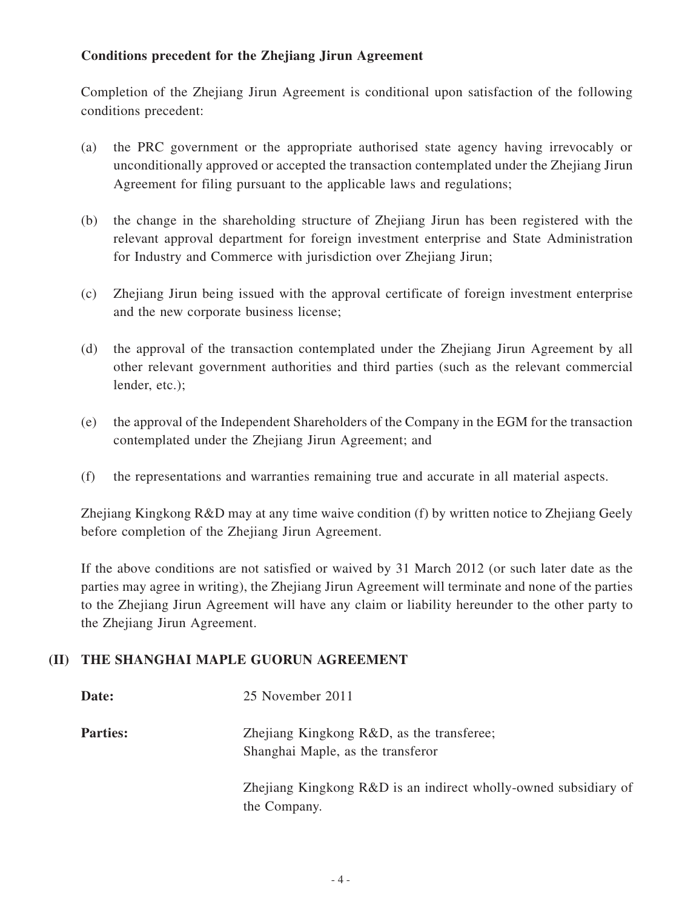### **Conditions precedent for the Zhejiang Jirun Agreement**

Completion of the Zhejiang Jirun Agreement is conditional upon satisfaction of the following conditions precedent:

- (a) the PRC government or the appropriate authorised state agency having irrevocably or unconditionally approved or accepted the transaction contemplated under the Zhejiang Jirun Agreement for filing pursuant to the applicable laws and regulations;
- (b) the change in the shareholding structure of Zhejiang Jirun has been registered with the relevant approval department for foreign investment enterprise and State Administration for Industry and Commerce with jurisdiction over Zhejiang Jirun;
- (c) Zhejiang Jirun being issued with the approval certificate of foreign investment enterprise and the new corporate business license;
- (d) the approval of the transaction contemplated under the Zhejiang Jirun Agreement by all other relevant government authorities and third parties (such as the relevant commercial lender, etc.);
- (e) the approval of the Independent Shareholders of the Company in the EGM for the transaction contemplated under the Zhejiang Jirun Agreement; and
- (f) the representations and warranties remaining true and accurate in all material aspects.

Zhejiang Kingkong R&D may at any time waive condition (f) by written notice to Zhejiang Geely before completion of the Zhejiang Jirun Agreement.

If the above conditions are not satisfied or waived by 31 March 2012 (or such later date as the parties may agree in writing), the Zhejiang Jirun Agreement will terminate and none of the parties to the Zhejiang Jirun Agreement will have any claim or liability hereunder to the other party to the Zhejiang Jirun Agreement.

#### **(II) The Shanghai Maple Guorun Agreement**

| Date:           | 25 November 2011                                                                |
|-----------------|---------------------------------------------------------------------------------|
| <b>Parties:</b> | Zhejiang Kingkong R&D, as the transferee;<br>Shanghai Maple, as the transferor  |
|                 | Zhejiang Kingkong R&D is an indirect wholly-owned subsidiary of<br>the Company. |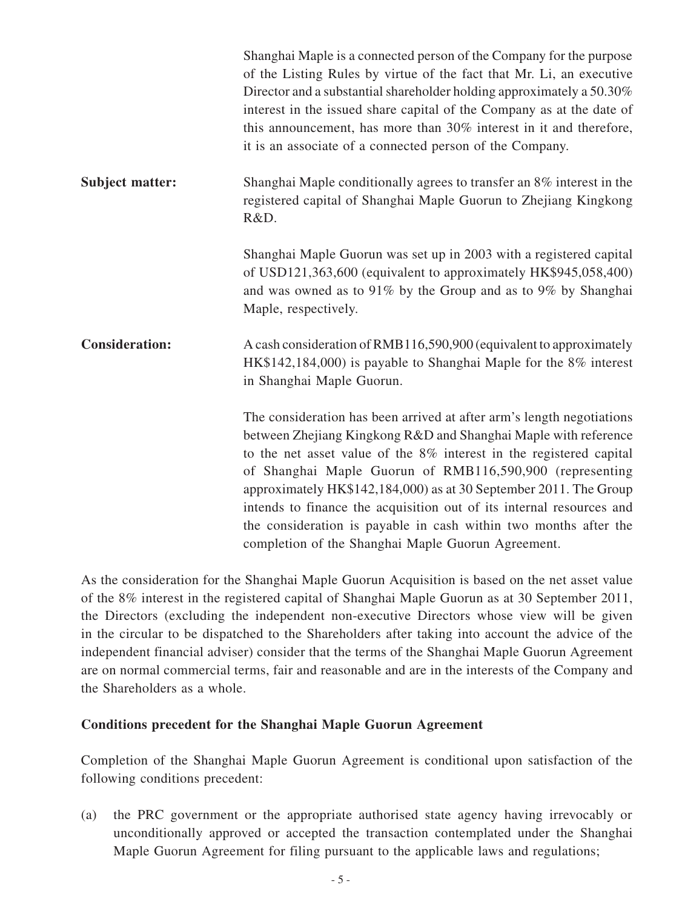|                        | Shanghai Maple is a connected person of the Company for the purpose<br>of the Listing Rules by virtue of the fact that Mr. Li, an executive<br>Director and a substantial shareholder holding approximately a 50.30%<br>interest in the issued share capital of the Company as at the date of<br>this announcement, has more than 30% interest in it and therefore,<br>it is an associate of a connected person of the Company.                                                                                                                    |
|------------------------|----------------------------------------------------------------------------------------------------------------------------------------------------------------------------------------------------------------------------------------------------------------------------------------------------------------------------------------------------------------------------------------------------------------------------------------------------------------------------------------------------------------------------------------------------|
| <b>Subject matter:</b> | Shanghai Maple conditionally agrees to transfer an 8% interest in the<br>registered capital of Shanghai Maple Guorun to Zhejiang Kingkong<br>R&D.                                                                                                                                                                                                                                                                                                                                                                                                  |
|                        | Shanghai Maple Guorun was set up in 2003 with a registered capital<br>of USD121,363,600 (equivalent to approximately HK\$945,058,400)<br>and was owned as to $91\%$ by the Group and as to 9% by Shanghai<br>Maple, respectively.                                                                                                                                                                                                                                                                                                                  |
| <b>Consideration:</b>  | A cash consideration of RMB116,590,900 (equivalent to approximately<br>HK\$142,184,000) is payable to Shanghai Maple for the 8% interest<br>in Shanghai Maple Guorun.                                                                                                                                                                                                                                                                                                                                                                              |
|                        | The consideration has been arrived at after arm's length negotiations<br>between Zhejiang Kingkong R&D and Shanghai Maple with reference<br>to the net asset value of the 8% interest in the registered capital<br>of Shanghai Maple Guorun of RMB116,590,900 (representing<br>approximately HK\$142,184,000) as at 30 September 2011. The Group<br>intends to finance the acquisition out of its internal resources and<br>the consideration is payable in cash within two months after the<br>completion of the Shanghai Maple Guorun Agreement. |

As the consideration for the Shanghai Maple Guorun Acquisition is based on the net asset value of the 8% interest in the registered capital of Shanghai Maple Guorun as at 30 September 2011, the Directors (excluding the independent non-executive Directors whose view will be given in the circular to be dispatched to the Shareholders after taking into account the advice of the independent financial adviser) consider that the terms of the Shanghai Maple Guorun Agreement are on normal commercial terms, fair and reasonable and are in the interests of the Company and the Shareholders as a whole.

#### **Conditions precedent for the Shanghai Maple Guorun Agreement**

Completion of the Shanghai Maple Guorun Agreement is conditional upon satisfaction of the following conditions precedent:

(a) the PRC government or the appropriate authorised state agency having irrevocably or unconditionally approved or accepted the transaction contemplated under the Shanghai Maple Guorun Agreement for filing pursuant to the applicable laws and regulations;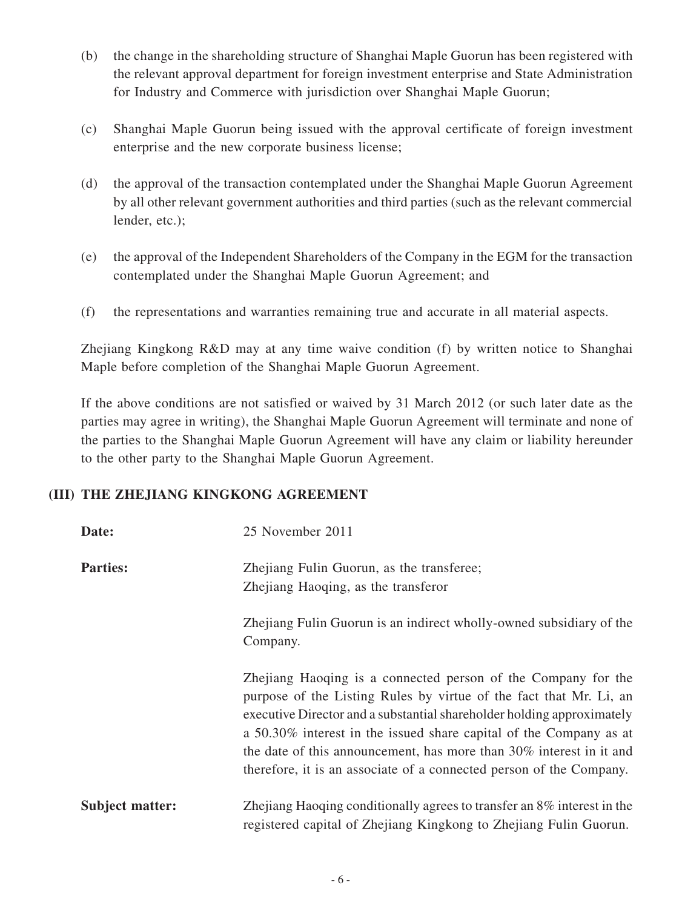- (b) the change in the shareholding structure of Shanghai Maple Guorun has been registered with the relevant approval department for foreign investment enterprise and State Administration for Industry and Commerce with jurisdiction over Shanghai Maple Guorun;
- (c) Shanghai Maple Guorun being issued with the approval certificate of foreign investment enterprise and the new corporate business license;
- (d) the approval of the transaction contemplated under the Shanghai Maple Guorun Agreement by all other relevant government authorities and third parties (such as the relevant commercial lender, etc.);
- (e) the approval of the Independent Shareholders of the Company in the EGM for the transaction contemplated under the Shanghai Maple Guorun Agreement; and
- (f) the representations and warranties remaining true and accurate in all material aspects.

Zhejiang Kingkong R&D may at any time waive condition (f) by written notice to Shanghai Maple before completion of the Shanghai Maple Guorun Agreement.

If the above conditions are not satisfied or waived by 31 March 2012 (or such later date as the parties may agree in writing), the Shanghai Maple Guorun Agreement will terminate and none of the parties to the Shanghai Maple Guorun Agreement will have any claim or liability hereunder to the other party to the Shanghai Maple Guorun Agreement.

#### **(III) The Zhejiang Kingkong Agreement**

| Date:                  | 25 November 2011                                                                                                                                                                                                                                                                                                                                                                                                                  |
|------------------------|-----------------------------------------------------------------------------------------------------------------------------------------------------------------------------------------------------------------------------------------------------------------------------------------------------------------------------------------------------------------------------------------------------------------------------------|
| <b>Parties:</b>        | Zhejiang Fulin Guorun, as the transferee;<br>Zhejiang Haoqing, as the transferor<br>Zhejiang Fulin Guorun is an indirect wholly-owned subsidiary of the<br>Company.                                                                                                                                                                                                                                                               |
|                        | Zhejiang Haoqing is a connected person of the Company for the<br>purpose of the Listing Rules by virtue of the fact that Mr. Li, an<br>executive Director and a substantial shareholder holding approximately<br>a 50.30% interest in the issued share capital of the Company as at<br>the date of this announcement, has more than 30% interest in it and<br>therefore, it is an associate of a connected person of the Company. |
| <b>Subject matter:</b> | Zhejiang Haoqing conditionally agrees to transfer an 8% interest in the<br>registered capital of Zhejiang Kingkong to Zhejiang Fulin Guorun.                                                                                                                                                                                                                                                                                      |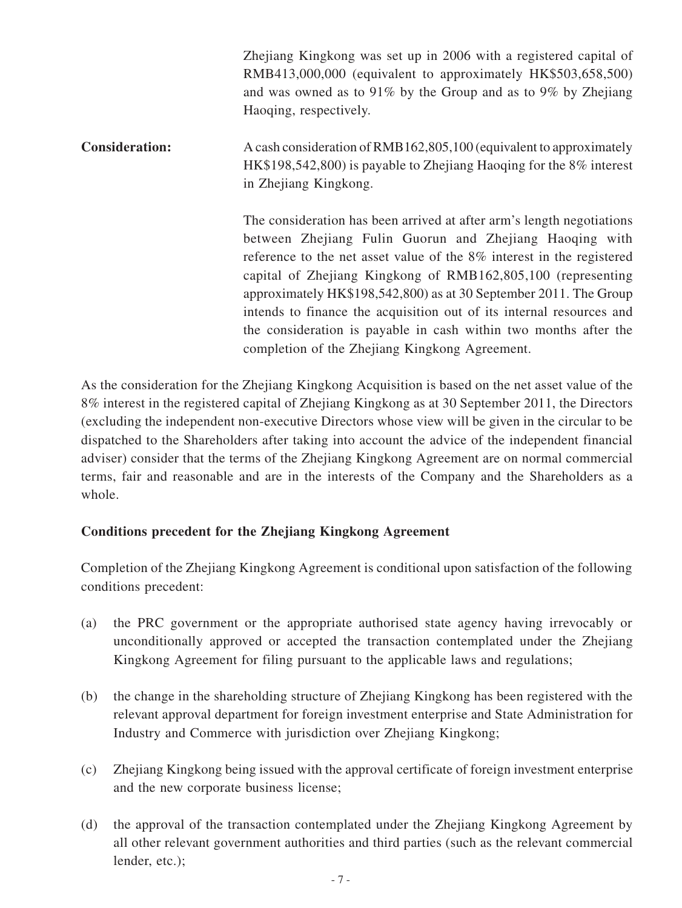Zhejiang Kingkong was set up in 2006 with a registered capital of RMB413,000,000 (equivalent to approximately HK\$503,658,500) and was owned as to 91% by the Group and as to 9% by Zhejiang Haoqing, respectively. **Consideration:** A cash consideration of RMB162,805,100 (equivalent to approximately HK\$198,542,800) is payable to Zhejiang Haoqing for the 8% interest in Zhejiang Kingkong. The consideration has been arrived at after arm's length negotiations between Zhejiang Fulin Guorun and Zhejiang Haoqing with reference to the net asset value of the 8% interest in the registered capital of Zhejiang Kingkong of RMB162,805,100 (representing approximately HK\$198,542,800) as at 30 September 2011. The Group intends to finance the acquisition out of its internal resources and the consideration is payable in cash within two months after the

As the consideration for the Zhejiang Kingkong Acquisition is based on the net asset value of the 8% interest in the registered capital of Zhejiang Kingkong as at 30 September 2011, the Directors (excluding the independent non-executive Directors whose view will be given in the circular to be dispatched to the Shareholders after taking into account the advice of the independent financial adviser) consider that the terms of the Zhejiang Kingkong Agreement are on normal commercial terms, fair and reasonable and are in the interests of the Company and the Shareholders as a whole.

completion of the Zhejiang Kingkong Agreement.

#### **Conditions precedent for the Zhejiang Kingkong Agreement**

Completion of the Zhejiang Kingkong Agreement is conditional upon satisfaction of the following conditions precedent:

- (a) the PRC government or the appropriate authorised state agency having irrevocably or unconditionally approved or accepted the transaction contemplated under the Zhejiang Kingkong Agreement for filing pursuant to the applicable laws and regulations;
- (b) the change in the shareholding structure of Zhejiang Kingkong has been registered with the relevant approval department for foreign investment enterprise and State Administration for Industry and Commerce with jurisdiction over Zhejiang Kingkong;
- (c) Zhejiang Kingkong being issued with the approval certificate of foreign investment enterprise and the new corporate business license;
- (d) the approval of the transaction contemplated under the Zhejiang Kingkong Agreement by all other relevant government authorities and third parties (such as the relevant commercial lender, etc.);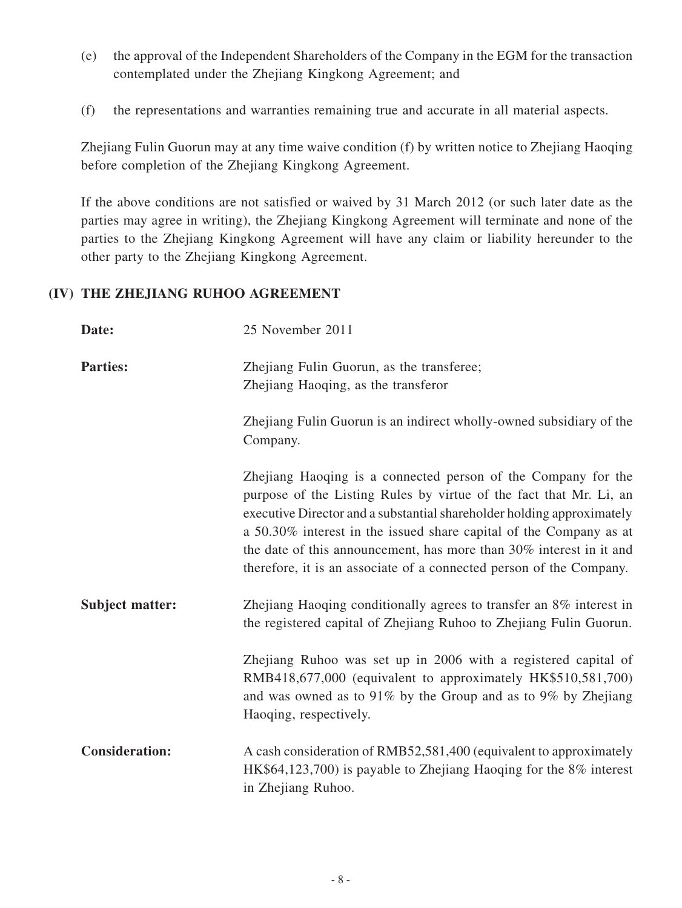- (e) the approval of the Independent Shareholders of the Company in the EGM for the transaction contemplated under the Zhejiang Kingkong Agreement; and
- (f) the representations and warranties remaining true and accurate in all material aspects.

Zhejiang Fulin Guorun may at any time waive condition (f) by written notice to Zhejiang Haoqing before completion of the Zhejiang Kingkong Agreement.

If the above conditions are not satisfied or waived by 31 March 2012 (or such later date as the parties may agree in writing), the Zhejiang Kingkong Agreement will terminate and none of the parties to the Zhejiang Kingkong Agreement will have any claim or liability hereunder to the other party to the Zhejiang Kingkong Agreement.

#### **(IV) The Zhejiang Ruhoo Agreement**

| Date:                  | 25 November 2011                                                                                                                                                                                                                                                                                                                                                                                                                  |
|------------------------|-----------------------------------------------------------------------------------------------------------------------------------------------------------------------------------------------------------------------------------------------------------------------------------------------------------------------------------------------------------------------------------------------------------------------------------|
| <b>Parties:</b>        | Zhejiang Fulin Guorun, as the transferee;<br>Zhejiang Haoqing, as the transferor                                                                                                                                                                                                                                                                                                                                                  |
|                        | Zhejiang Fulin Guorun is an indirect wholly-owned subsidiary of the<br>Company.                                                                                                                                                                                                                                                                                                                                                   |
|                        | Zhejiang Haoqing is a connected person of the Company for the<br>purpose of the Listing Rules by virtue of the fact that Mr. Li, an<br>executive Director and a substantial shareholder holding approximately<br>a 50.30% interest in the issued share capital of the Company as at<br>the date of this announcement, has more than 30% interest in it and<br>therefore, it is an associate of a connected person of the Company. |
| <b>Subject matter:</b> | Zhejiang Haoqing conditionally agrees to transfer an 8% interest in<br>the registered capital of Zhejiang Ruhoo to Zhejiang Fulin Guorun.                                                                                                                                                                                                                                                                                         |
|                        | Zhejiang Ruhoo was set up in 2006 with a registered capital of<br>RMB418,677,000 (equivalent to approximately HK\$510,581,700)<br>and was owned as to 91% by the Group and as to 9% by Zhejiang<br>Haoqing, respectively.                                                                                                                                                                                                         |
| <b>Consideration:</b>  | A cash consideration of RMB52,581,400 (equivalent to approximately<br>HK\$64,123,700) is payable to Zhejiang Haoqing for the 8% interest<br>in Zhejiang Ruhoo.                                                                                                                                                                                                                                                                    |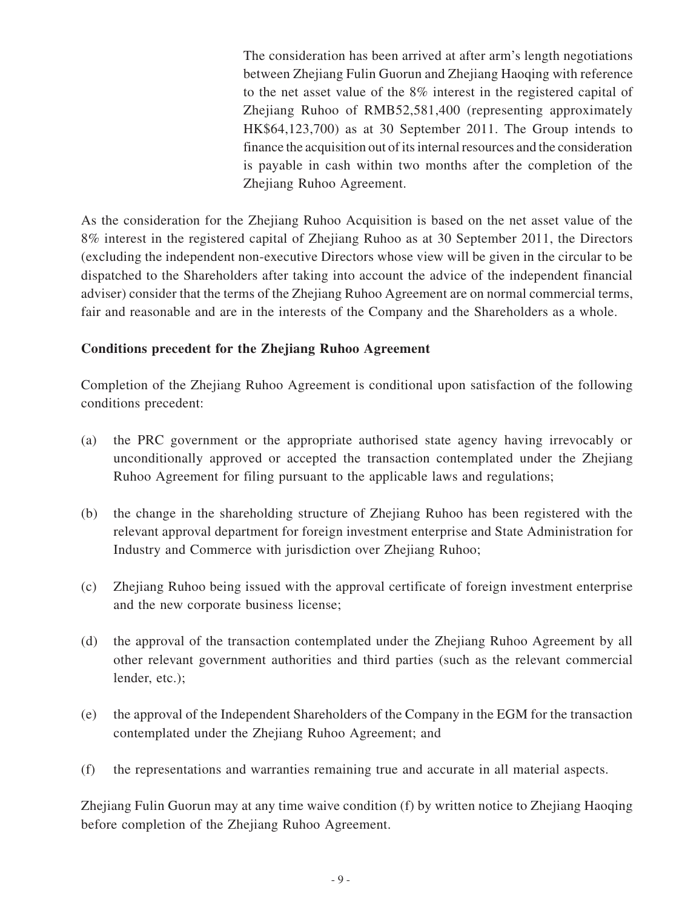The consideration has been arrived at after arm's length negotiations between Zhejiang Fulin Guorun and Zhejiang Haoqing with reference to the net asset value of the 8% interest in the registered capital of Zhejiang Ruhoo of RMB52,581,400 (representing approximately HK\$64,123,700) as at 30 September 2011. The Group intends to finance the acquisition out of its internal resources and the consideration is payable in cash within two months after the completion of the Zhejiang Ruhoo Agreement.

As the consideration for the Zhejiang Ruhoo Acquisition is based on the net asset value of the 8% interest in the registered capital of Zhejiang Ruhoo as at 30 September 2011, the Directors (excluding the independent non-executive Directors whose view will be given in the circular to be dispatched to the Shareholders after taking into account the advice of the independent financial adviser) consider that the terms of the Zhejiang Ruhoo Agreement are on normal commercial terms, fair and reasonable and are in the interests of the Company and the Shareholders as a whole.

#### **Conditions precedent for the Zhejiang Ruhoo Agreement**

Completion of the Zhejiang Ruhoo Agreement is conditional upon satisfaction of the following conditions precedent:

- (a) the PRC government or the appropriate authorised state agency having irrevocably or unconditionally approved or accepted the transaction contemplated under the Zhejiang Ruhoo Agreement for filing pursuant to the applicable laws and regulations;
- (b) the change in the shareholding structure of Zhejiang Ruhoo has been registered with the relevant approval department for foreign investment enterprise and State Administration for Industry and Commerce with jurisdiction over Zhejiang Ruhoo;
- (c) Zhejiang Ruhoo being issued with the approval certificate of foreign investment enterprise and the new corporate business license;
- (d) the approval of the transaction contemplated under the Zhejiang Ruhoo Agreement by all other relevant government authorities and third parties (such as the relevant commercial lender, etc.);
- (e) the approval of the Independent Shareholders of the Company in the EGM for the transaction contemplated under the Zhejiang Ruhoo Agreement; and
- (f) the representations and warranties remaining true and accurate in all material aspects.

Zhejiang Fulin Guorun may at any time waive condition (f) by written notice to Zhejiang Haoqing before completion of the Zhejiang Ruhoo Agreement.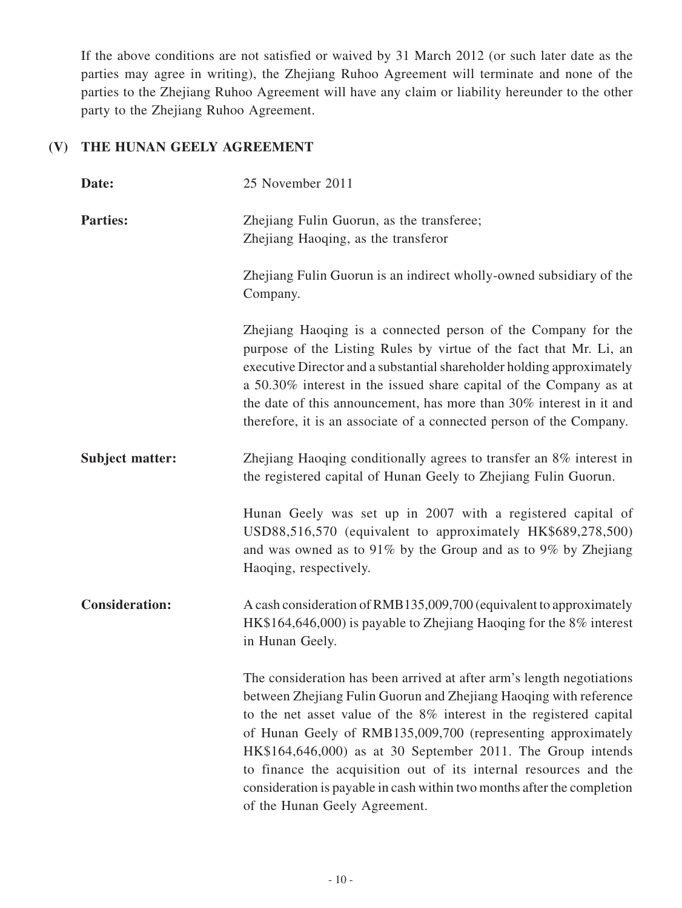If the above conditions are not satisfied or waived by 31 March 2012 (or such later date as the parties may agree in writing), the Zhejiang Ruhoo Agreement will terminate and none of the parties to the Zhejiang Ruhoo Agreement will have any claim or liability hereunder to the other party to the Zhejiang Ruhoo Agreement.

## **(V) The Hunan Geely Agreement**

| Date:                  | 25 November 2011                                                                                                                                                                                                                                                                                                                                                                                                                                                                                                                 |
|------------------------|----------------------------------------------------------------------------------------------------------------------------------------------------------------------------------------------------------------------------------------------------------------------------------------------------------------------------------------------------------------------------------------------------------------------------------------------------------------------------------------------------------------------------------|
| <b>Parties:</b>        | Zhejiang Fulin Guorun, as the transferee;<br>Zhejiang Haoqing, as the transferor                                                                                                                                                                                                                                                                                                                                                                                                                                                 |
|                        | Zhejiang Fulin Guorun is an indirect wholly-owned subsidiary of the<br>Company.                                                                                                                                                                                                                                                                                                                                                                                                                                                  |
|                        | Zhejiang Haoqing is a connected person of the Company for the<br>purpose of the Listing Rules by virtue of the fact that Mr. Li, an<br>executive Director and a substantial shareholder holding approximately<br>a 50.30% interest in the issued share capital of the Company as at<br>the date of this announcement, has more than 30% interest in it and<br>therefore, it is an associate of a connected person of the Company.                                                                                                |
| <b>Subject matter:</b> | Zhejiang Haoqing conditionally agrees to transfer an 8% interest in<br>the registered capital of Hunan Geely to Zhejiang Fulin Guorun.                                                                                                                                                                                                                                                                                                                                                                                           |
|                        | Hunan Geely was set up in 2007 with a registered capital of<br>USD88,516,570 (equivalent to approximately HK\$689,278,500)<br>and was owned as to 91% by the Group and as to 9% by Zhejiang<br>Haoqing, respectively.                                                                                                                                                                                                                                                                                                            |
| <b>Consideration:</b>  | A cash consideration of RMB135,009,700 (equivalent to approximately<br>HK\$164,646,000) is payable to Zhejiang Haoqing for the 8% interest<br>in Hunan Geely.                                                                                                                                                                                                                                                                                                                                                                    |
|                        | The consideration has been arrived at after arm's length negotiations<br>between Zhejiang Fulin Guorun and Zhejiang Haoqing with reference<br>to the net asset value of the 8% interest in the registered capital<br>of Hunan Geely of RMB135,009,700 (representing approximately<br>HK\$164,646,000) as at 30 September 2011. The Group intends<br>to finance the acquisition out of its internal resources and the<br>consideration is payable in cash within two months after the completion<br>of the Hunan Geely Agreement. |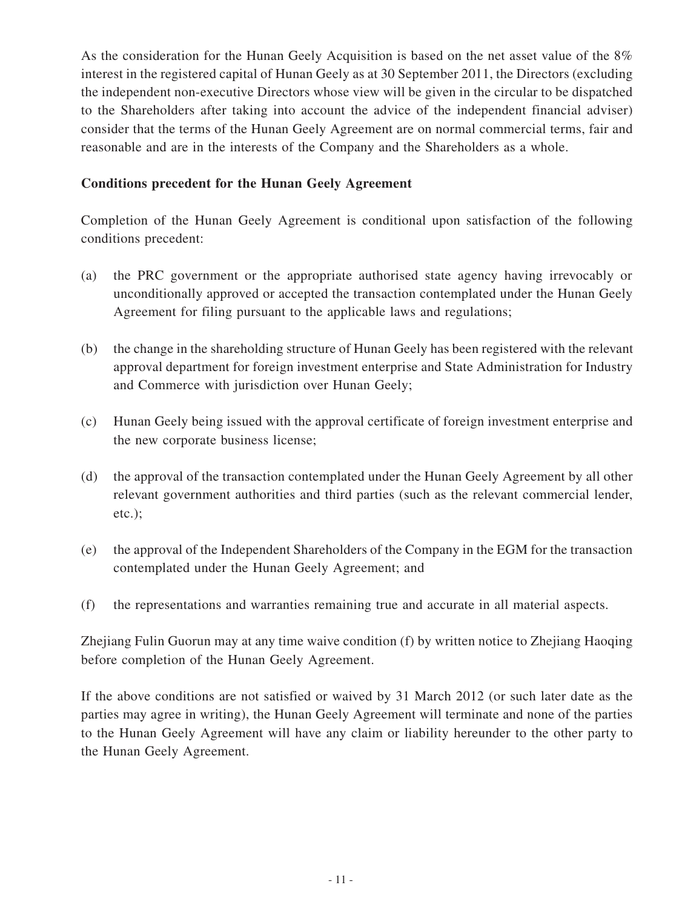As the consideration for the Hunan Geely Acquisition is based on the net asset value of the 8% interest in the registered capital of Hunan Geely as at 30 September 2011, the Directors (excluding the independent non-executive Directors whose view will be given in the circular to be dispatched to the Shareholders after taking into account the advice of the independent financial adviser) consider that the terms of the Hunan Geely Agreement are on normal commercial terms, fair and reasonable and are in the interests of the Company and the Shareholders as a whole.

#### **Conditions precedent for the Hunan Geely Agreement**

Completion of the Hunan Geely Agreement is conditional upon satisfaction of the following conditions precedent:

- (a) the PRC government or the appropriate authorised state agency having irrevocably or unconditionally approved or accepted the transaction contemplated under the Hunan Geely Agreement for filing pursuant to the applicable laws and regulations;
- (b) the change in the shareholding structure of Hunan Geely has been registered with the relevant approval department for foreign investment enterprise and State Administration for Industry and Commerce with jurisdiction over Hunan Geely;
- (c) Hunan Geely being issued with the approval certificate of foreign investment enterprise and the new corporate business license;
- (d) the approval of the transaction contemplated under the Hunan Geely Agreement by all other relevant government authorities and third parties (such as the relevant commercial lender, etc.);
- (e) the approval of the Independent Shareholders of the Company in the EGM for the transaction contemplated under the Hunan Geely Agreement; and
- (f) the representations and warranties remaining true and accurate in all material aspects.

Zhejiang Fulin Guorun may at any time waive condition (f) by written notice to Zhejiang Haoqing before completion of the Hunan Geely Agreement.

If the above conditions are not satisfied or waived by 31 March 2012 (or such later date as the parties may agree in writing), the Hunan Geely Agreement will terminate and none of the parties to the Hunan Geely Agreement will have any claim or liability hereunder to the other party to the Hunan Geely Agreement.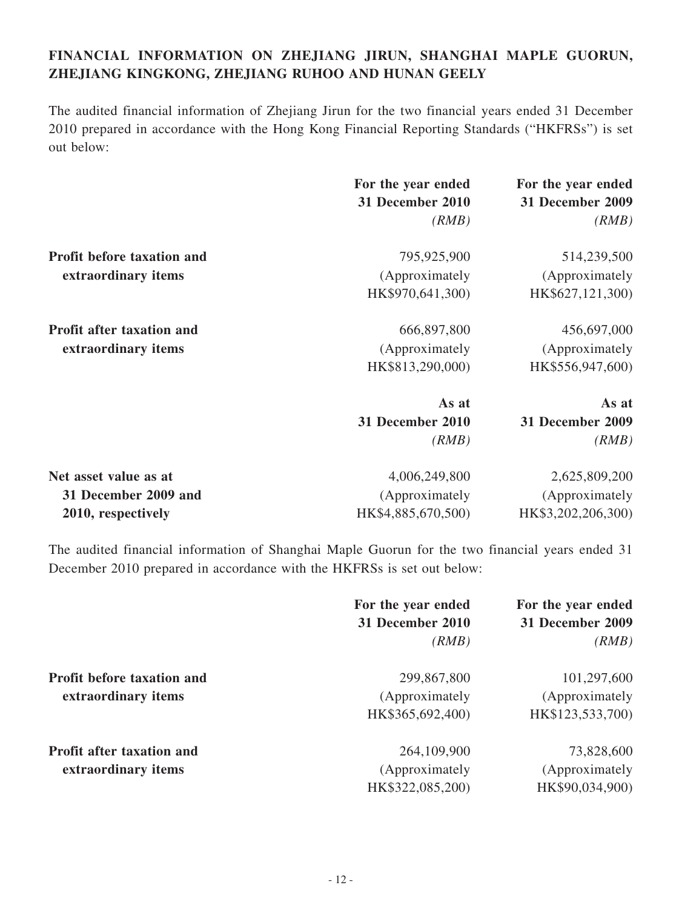## **FINANCIAL INFORMATION ON ZHEJIANG JIRUN, SHANGHAI MAPLE GUORUN, ZHEJIANG KINGKONG, ZHEJIANG RUHOO AND HUNAN GEELY**

The audited financial information of Zhejiang Jirun for the two financial years ended 31 December 2010 prepared in accordance with the Hong Kong Financial Reporting Standards ("HKFRSs") is set out below:

|                                   | For the year ended | For the year ended      |
|-----------------------------------|--------------------|-------------------------|
|                                   | 31 December 2010   | 31 December 2009        |
|                                   | (RMB)              | (RMB)                   |
| <b>Profit before taxation and</b> | 795,925,900        | 514,239,500             |
| extraordinary items               | (Approximately     | (Approximately)         |
|                                   | HK\$970,641,300)   | HK\$627,121,300)        |
| Profit after taxation and         | 666,897,800        | 456,697,000             |
| extraordinary items               | (Approximately     | (Approximately)         |
|                                   | HK\$813,290,000)   | HK\$556,947,600)        |
|                                   | As at              | As at                   |
|                                   | 31 December 2010   | <b>31 December 2009</b> |
|                                   | (RMB)              | (RMB)                   |
| Net asset value as at             | 4,006,249,800      | 2,625,809,200           |
| 31 December 2009 and              | (Approximately     | (Approximately          |
| 2010, respectively                | HK\$4,885,670,500) | HK\$3,202,206,300)      |

The audited financial information of Shanghai Maple Guorun for the two financial years ended 31 December 2010 prepared in accordance with the HKFRSs is set out below:

|                            | For the year ended        | For the year ended        |
|----------------------------|---------------------------|---------------------------|
|                            | 31 December 2010<br>(RMB) | 31 December 2009<br>(RMB) |
|                            |                           |                           |
| Profit before taxation and | 299,867,800               | 101,297,600               |
| extraordinary items        | (Approximately)           | (Approximately)           |
|                            | HK\$365,692,400)          | HK\$123,533,700)          |
| Profit after taxation and  | 264,109,900               | 73,828,600                |
| extraordinary items        | (Approximately)           | (Approximately)           |
|                            | HK\$322,085,200)          | HK\$90,034,900)           |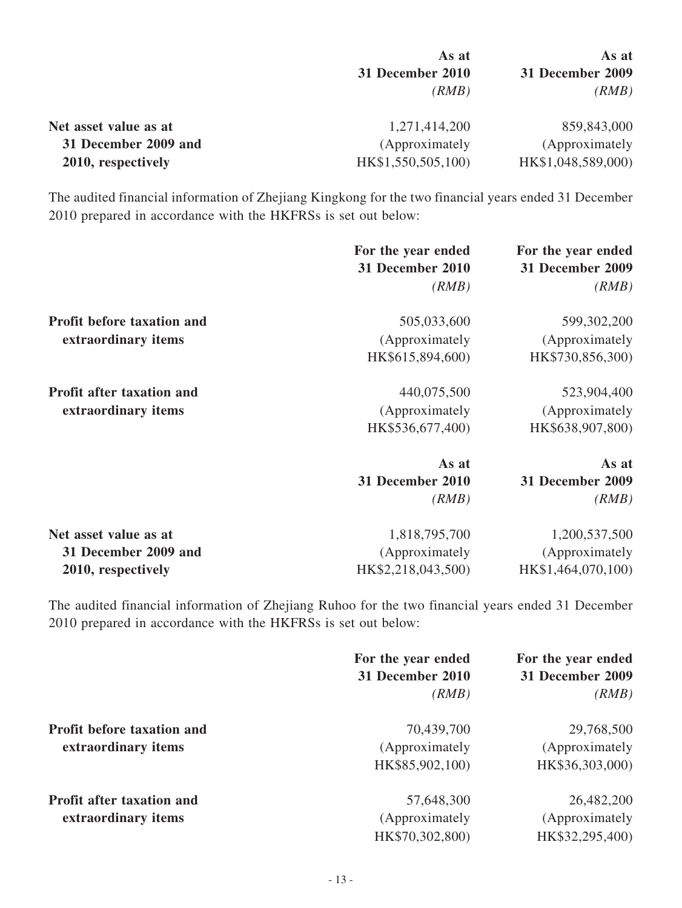|                       | As at<br>31 December 2010<br>(RMB) | As at<br>31 December 2009<br>(RMB) |
|-----------------------|------------------------------------|------------------------------------|
|                       |                                    |                                    |
|                       |                                    |                                    |
| Net asset value as at | 1,271,414,200                      | 859,843,000                        |
| 31 December 2009 and  | (Approximately)                    | (Approximately)                    |
| 2010, respectively    | HK\$1,550,505,100)                 | HK\$1,048,589,000)                 |

The audited financial information of Zhejiang Kingkong for the two financial years ended 31 December 2010 prepared in accordance with the HKFRSs is set out below:

|                                  | For the year ended<br><b>31 December 2010</b><br>(RMB) | For the year ended<br>31 December 2009<br>(RMB) |
|----------------------------------|--------------------------------------------------------|-------------------------------------------------|
|                                  |                                                        |                                                 |
| Profit before taxation and       | 505,033,600                                            | 599,302,200                                     |
| extraordinary items              | (Approximately                                         | (Approximately)                                 |
|                                  | HK\$615,894,600)                                       | HK\$730,856,300)                                |
| <b>Profit after taxation and</b> | 440,075,500                                            | 523,904,400                                     |
| extraordinary items              | (Approximately                                         | (Approximately)                                 |
|                                  | HK\$536,677,400)                                       | HK\$638,907,800)                                |
|                                  | As at                                                  | As at                                           |
|                                  | 31 December 2010                                       | 31 December 2009                                |
|                                  | (RMB)                                                  | (RMB)                                           |
| Net asset value as at            | 1,818,795,700                                          | 1,200,537,500                                   |
| 31 December 2009 and             | (Approximately                                         | (Approximately                                  |
| 2010, respectively               | HK\$2,218,043,500)                                     | HK\$1,464,070,100)                              |

The audited financial information of Zhejiang Ruhoo for the two financial years ended 31 December 2010 prepared in accordance with the HKFRSs is set out below:

|                                                          | For the year ended<br>31 December 2010           | For the year ended<br>31 December 2009           |
|----------------------------------------------------------|--------------------------------------------------|--------------------------------------------------|
|                                                          | (RMB)                                            | (RMB)                                            |
| <b>Profit before taxation and</b><br>extraordinary items | 70,439,700<br>(Approximately)<br>HK\$85,902,100) | 29,768,500<br>(Approximately)<br>HK\$36,303,000) |
| <b>Profit after taxation and</b><br>extraordinary items  | 57,648,300<br>(Approximately)<br>HK\$70,302,800) | 26,482,200<br>(Approximately)<br>HK\$32,295,400) |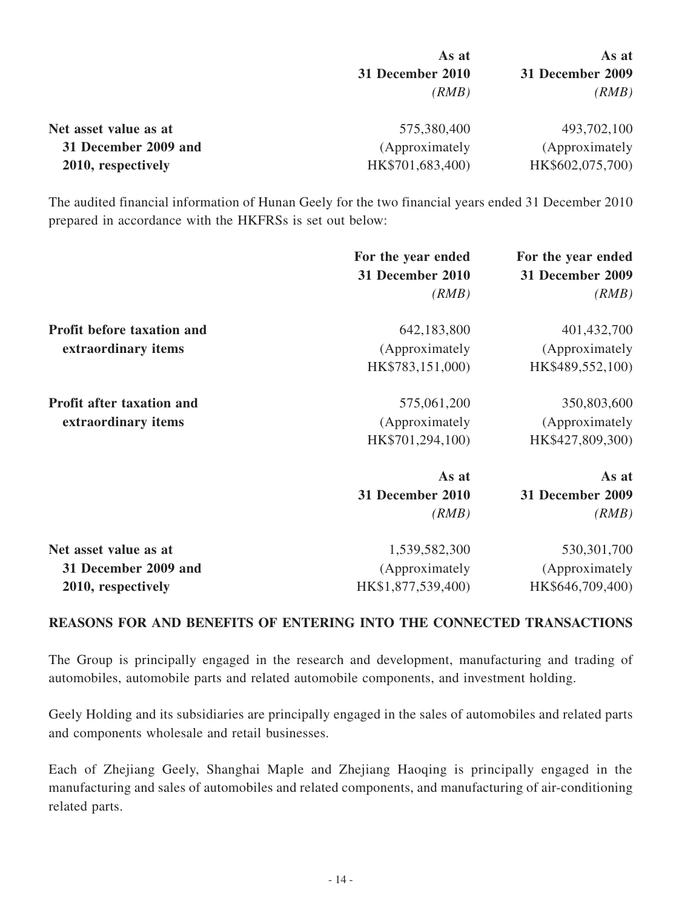|                       | As at<br>31 December 2010<br>(RMB) | As at<br>31 December 2009<br>(RMB) |
|-----------------------|------------------------------------|------------------------------------|
|                       |                                    |                                    |
|                       |                                    |                                    |
| Net asset value as at | 575,380,400                        | 493,702,100                        |
| 31 December 2009 and  | (Approximately                     | (Approximately)                    |
| 2010, respectively    | HK\$701,683,400)                   | HK\$602,075,700)                   |

The audited financial information of Hunan Geely for the two financial years ended 31 December 2010 prepared in accordance with the HKFRSs is set out below:

|                                  | For the year ended<br>31 December 2010 | For the year ended<br>31 December 2009 |
|----------------------------------|----------------------------------------|----------------------------------------|
|                                  | (RMB)                                  | (RMB)                                  |
| Profit before taxation and       | 642,183,800                            | 401,432,700                            |
| extraordinary items              | (Approximately                         | (Approximately)                        |
|                                  | HK\$783,151,000)                       | HK\$489,552,100)                       |
| <b>Profit after taxation and</b> | 575,061,200                            | 350,803,600                            |
| extraordinary items              | (Approximately                         | (Approximately                         |
|                                  | HK\$701,294,100)                       | HK\$427,809,300)                       |
|                                  | As at                                  | As at                                  |
|                                  | 31 December 2010                       | <b>31 December 2009</b>                |
|                                  | (RMB)                                  | (RMB)                                  |
| Net asset value as at            | 1,539,582,300                          | 530, 301, 700                          |
| 31 December 2009 and             | (Approximately                         | (Approximately)                        |
| 2010, respectively               | HK\$1,877,539,400)                     | HK\$646,709,400)                       |

#### **REASONS FOR AND BENEFITS OF ENTERING INTO THE CONNECTED TRANSACTIONS**

The Group is principally engaged in the research and development, manufacturing and trading of automobiles, automobile parts and related automobile components, and investment holding.

Geely Holding and its subsidiaries are principally engaged in the sales of automobiles and related parts and components wholesale and retail businesses.

Each of Zhejiang Geely, Shanghai Maple and Zhejiang Haoqing is principally engaged in the manufacturing and sales of automobiles and related components, and manufacturing of air-conditioning related parts.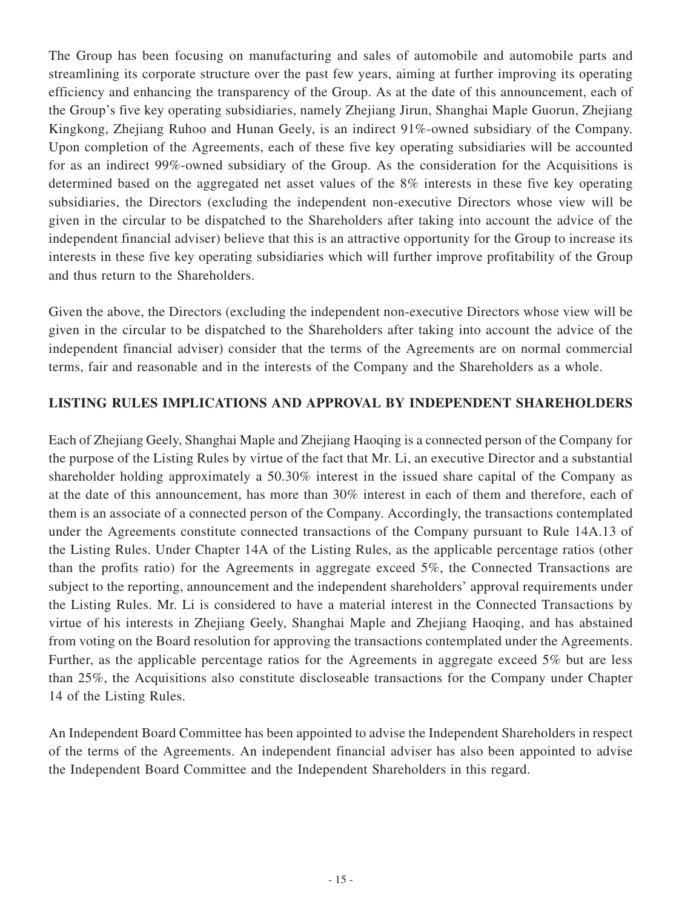The Group has been focusing on manufacturing and sales of automobile and automobile parts and streamlining its corporate structure over the past few years, aiming at further improving its operating efficiency and enhancing the transparency of the Group. As at the date of this announcement, each of the Group's five key operating subsidiaries, namely Zhejiang Jirun, Shanghai Maple Guorun, Zhejiang Kingkong, Zhejiang Ruhoo and Hunan Geely, is an indirect 91%-owned subsidiary of the Company. Upon completion of the Agreements, each of these five key operating subsidiaries will be accounted for as an indirect 99%-owned subsidiary of the Group. As the consideration for the Acquisitions is determined based on the aggregated net asset values of the 8% interests in these five key operating subsidiaries, the Directors (excluding the independent non-executive Directors whose view will be given in the circular to be dispatched to the Shareholders after taking into account the advice of the independent financial adviser) believe that this is an attractive opportunity for the Group to increase its interests in these five key operating subsidiaries which will further improve profitability of the Group and thus return to the Shareholders.

Given the above, the Directors (excluding the independent non-executive Directors whose view will be given in the circular to be dispatched to the Shareholders after taking into account the advice of the independent financial adviser) consider that the terms of the Agreements are on normal commercial terms, fair and reasonable and in the interests of the Company and the Shareholders as a whole.

#### **LISTING RULES IMPLICATIONS AND APPROVAL BY INDEPENDENT SHAREHOLDERS**

Each of Zhejiang Geely, Shanghai Maple and Zhejiang Haoqing is a connected person of the Company for the purpose of the Listing Rules by virtue of the fact that Mr. Li, an executive Director and a substantial shareholder holding approximately a 50.30% interest in the issued share capital of the Company as at the date of this announcement, has more than 30% interest in each of them and therefore, each of them is an associate of a connected person of the Company. Accordingly, the transactions contemplated under the Agreements constitute connected transactions of the Company pursuant to Rule 14A.13 of the Listing Rules. Under Chapter 14A of the Listing Rules, as the applicable percentage ratios (other than the profits ratio) for the Agreements in aggregate exceed 5%, the Connected Transactions are subject to the reporting, announcement and the independent shareholders' approval requirements under the Listing Rules. Mr. Li is considered to have a material interest in the Connected Transactions by virtue of his interests in Zhejiang Geely, Shanghai Maple and Zhejiang Haoqing, and has abstained from voting on the Board resolution for approving the transactions contemplated under the Agreements. Further, as the applicable percentage ratios for the Agreements in aggregate exceed 5% but are less than 25%, the Acquisitions also constitute discloseable transactions for the Company under Chapter 14 of the Listing Rules.

An Independent Board Committee has been appointed to advise the Independent Shareholders in respect of the terms of the Agreements. An independent financial adviser has also been appointed to advise the Independent Board Committee and the Independent Shareholders in this regard.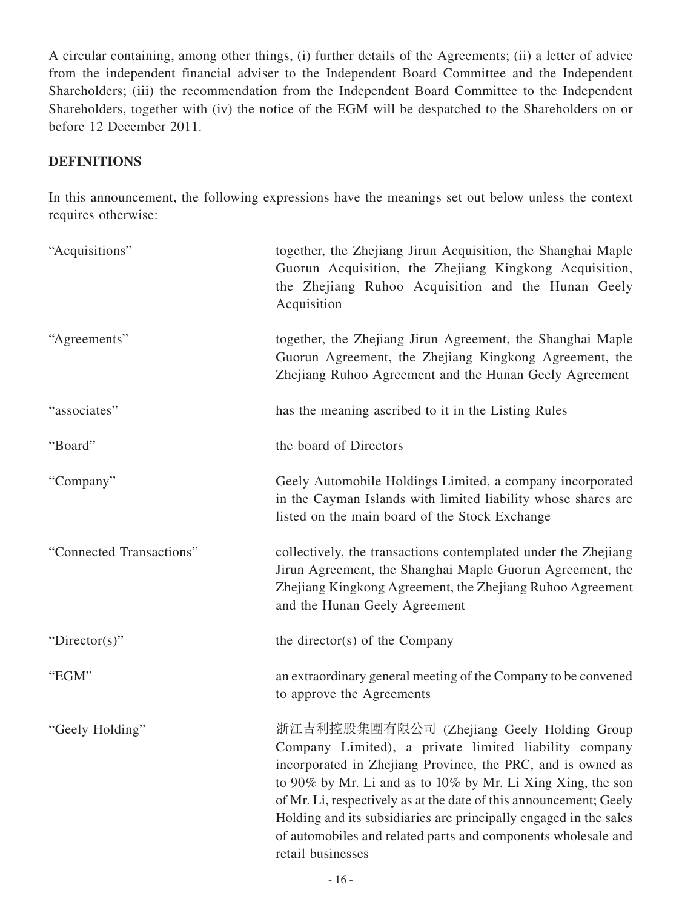A circular containing, among other things, (i) further details of the Agreements; (ii) a letter of advice from the independent financial adviser to the Independent Board Committee and the Independent Shareholders; (iii) the recommendation from the Independent Board Committee to the Independent Shareholders, together with (iv) the notice of the EGM will be despatched to the Shareholders on or before 12 December 2011.

#### **DEFINITIONS**

In this announcement, the following expressions have the meanings set out below unless the context requires otherwise:

| "Acquisitions"           | together, the Zhejiang Jirun Acquisition, the Shanghai Maple<br>Guorun Acquisition, the Zhejiang Kingkong Acquisition,<br>the Zhejiang Ruhoo Acquisition and the Hunan Geely<br>Acquisition                                                                                                                                                                                                                                                                        |
|--------------------------|--------------------------------------------------------------------------------------------------------------------------------------------------------------------------------------------------------------------------------------------------------------------------------------------------------------------------------------------------------------------------------------------------------------------------------------------------------------------|
| "Agreements"             | together, the Zhejiang Jirun Agreement, the Shanghai Maple<br>Guorun Agreement, the Zhejiang Kingkong Agreement, the<br>Zhejiang Ruhoo Agreement and the Hunan Geely Agreement                                                                                                                                                                                                                                                                                     |
| "associates"             | has the meaning ascribed to it in the Listing Rules                                                                                                                                                                                                                                                                                                                                                                                                                |
| "Board"                  | the board of Directors                                                                                                                                                                                                                                                                                                                                                                                                                                             |
| "Company"                | Geely Automobile Holdings Limited, a company incorporated<br>in the Cayman Islands with limited liability whose shares are<br>listed on the main board of the Stock Exchange                                                                                                                                                                                                                                                                                       |
| "Connected Transactions" | collectively, the transactions contemplated under the Zhejiang<br>Jirun Agreement, the Shanghai Maple Guorun Agreement, the<br>Zhejiang Kingkong Agreement, the Zhejiang Ruhoo Agreement<br>and the Hunan Geely Agreement                                                                                                                                                                                                                                          |
| " $Directory$ "          | the director(s) of the Company                                                                                                                                                                                                                                                                                                                                                                                                                                     |
| "EGM"                    | an extraordinary general meeting of the Company to be convened<br>to approve the Agreements                                                                                                                                                                                                                                                                                                                                                                        |
| "Geely Holding"          | 浙江吉利控股集團有限公司 (Zhejiang Geely Holding Group<br>Company Limited), a private limited liability company<br>incorporated in Zhejiang Province, the PRC, and is owned as<br>to 90% by Mr. Li and as to 10% by Mr. Li Xing Xing, the son<br>of Mr. Li, respectively as at the date of this announcement; Geely<br>Holding and its subsidiaries are principally engaged in the sales<br>of automobiles and related parts and components wholesale and<br>retail businesses |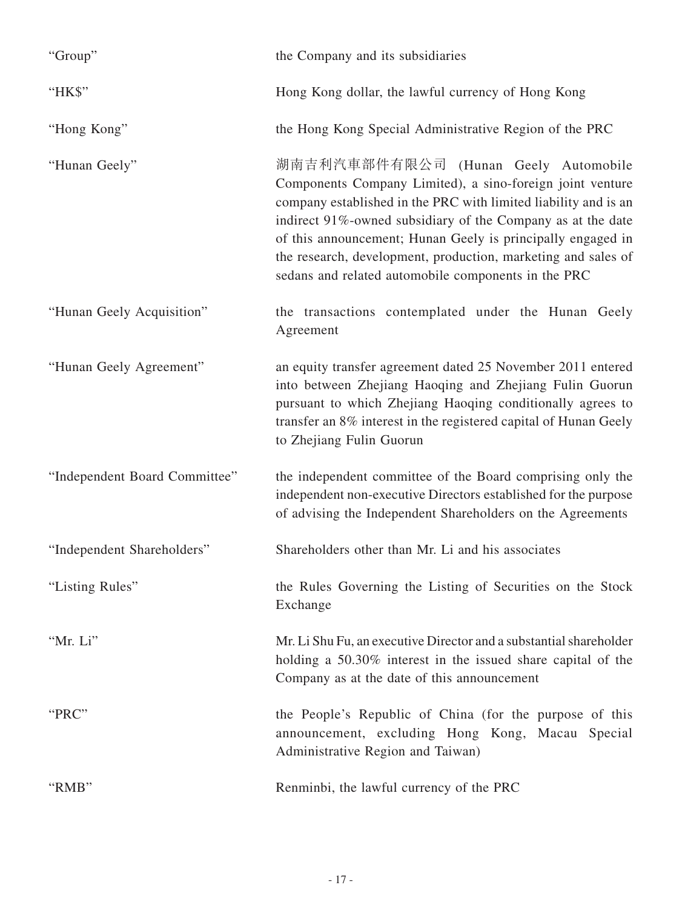| "Group"                       | the Company and its subsidiaries                                                                                                                                                                                                                                                                                                                                                                                           |
|-------------------------------|----------------------------------------------------------------------------------------------------------------------------------------------------------------------------------------------------------------------------------------------------------------------------------------------------------------------------------------------------------------------------------------------------------------------------|
| "HK\$"                        | Hong Kong dollar, the lawful currency of Hong Kong                                                                                                                                                                                                                                                                                                                                                                         |
| "Hong Kong"                   | the Hong Kong Special Administrative Region of the PRC                                                                                                                                                                                                                                                                                                                                                                     |
| "Hunan Geely"                 | 湖南吉利汽車部件有限公司 (Hunan Geely Automobile<br>Components Company Limited), a sino-foreign joint venture<br>company established in the PRC with limited liability and is an<br>indirect 91%-owned subsidiary of the Company as at the date<br>of this announcement; Hunan Geely is principally engaged in<br>the research, development, production, marketing and sales of<br>sedans and related automobile components in the PRC |
| "Hunan Geely Acquisition"     | the transactions contemplated under the Hunan Geely<br>Agreement                                                                                                                                                                                                                                                                                                                                                           |
| "Hunan Geely Agreement"       | an equity transfer agreement dated 25 November 2011 entered<br>into between Zhejiang Haoqing and Zhejiang Fulin Guorun<br>pursuant to which Zhejiang Haoqing conditionally agrees to<br>transfer an 8% interest in the registered capital of Hunan Geely<br>to Zhejiang Fulin Guorun                                                                                                                                       |
| "Independent Board Committee" | the independent committee of the Board comprising only the<br>independent non-executive Directors established for the purpose<br>of advising the Independent Shareholders on the Agreements                                                                                                                                                                                                                                |
| "Independent Shareholders"    | Shareholders other than Mr. Li and his associates                                                                                                                                                                                                                                                                                                                                                                          |
| "Listing Rules"               | the Rules Governing the Listing of Securities on the Stock<br>Exchange                                                                                                                                                                                                                                                                                                                                                     |
| "Mr. Li"                      | Mr. Li Shu Fu, an executive Director and a substantial shareholder<br>holding a 50.30% interest in the issued share capital of the<br>Company as at the date of this announcement                                                                                                                                                                                                                                          |
| "PRC"                         | the People's Republic of China (for the purpose of this<br>announcement, excluding Hong Kong, Macau Special<br>Administrative Region and Taiwan)                                                                                                                                                                                                                                                                           |
| "RMB"                         | Renminbi, the lawful currency of the PRC                                                                                                                                                                                                                                                                                                                                                                                   |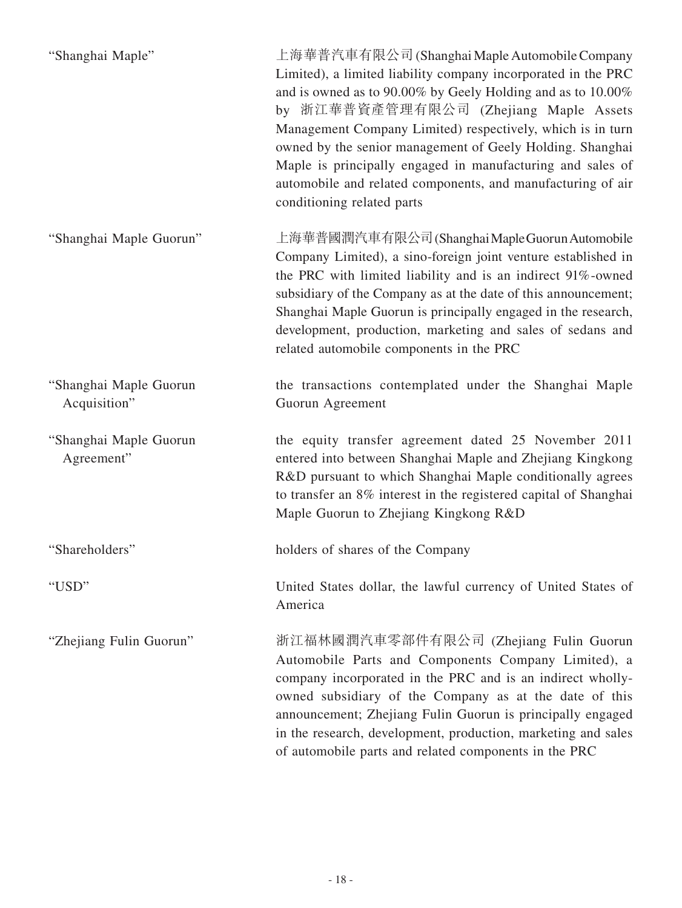| "Shanghai Maple"                       | 上海華普汽車有限公司 (Shanghai Maple Automobile Company<br>Limited), a limited liability company incorporated in the PRC<br>and is owned as to 90.00% by Geely Holding and as to 10.00%<br>by 浙江華普資產管理有限公司 (Zhejiang Maple Assets<br>Management Company Limited) respectively, which is in turn<br>owned by the senior management of Geely Holding. Shanghai<br>Maple is principally engaged in manufacturing and sales of<br>automobile and related components, and manufacturing of air<br>conditioning related parts |
|----------------------------------------|---------------------------------------------------------------------------------------------------------------------------------------------------------------------------------------------------------------------------------------------------------------------------------------------------------------------------------------------------------------------------------------------------------------------------------------------------------------------------------------------------------------|
| "Shanghai Maple Guorun"                | 上海華普國潤汽車有限公司 (Shanghai Maple Guorun Automobile<br>Company Limited), a sino-foreign joint venture established in<br>the PRC with limited liability and is an indirect 91%-owned<br>subsidiary of the Company as at the date of this announcement;<br>Shanghai Maple Guorun is principally engaged in the research,<br>development, production, marketing and sales of sedans and<br>related automobile components in the PRC                                                                                   |
| "Shanghai Maple Guorun<br>Acquisition" | the transactions contemplated under the Shanghai Maple<br>Guorun Agreement                                                                                                                                                                                                                                                                                                                                                                                                                                    |
| "Shanghai Maple Guorun<br>Agreement"   | the equity transfer agreement dated 25 November 2011<br>entered into between Shanghai Maple and Zhejiang Kingkong<br>R&D pursuant to which Shanghai Maple conditionally agrees<br>to transfer an 8% interest in the registered capital of Shanghai<br>Maple Guorun to Zhejiang Kingkong R&D                                                                                                                                                                                                                   |
| "Shareholders"                         | holders of shares of the Company                                                                                                                                                                                                                                                                                                                                                                                                                                                                              |
| "USD"                                  | United States dollar, the lawful currency of United States of<br>America                                                                                                                                                                                                                                                                                                                                                                                                                                      |
| "Zhejiang Fulin Guorun"                | 浙江福林國潤汽車零部件有限公司 (Zhejiang Fulin Guorun<br>Automobile Parts and Components Company Limited), a<br>company incorporated in the PRC and is an indirect wholly-<br>owned subsidiary of the Company as at the date of this<br>announcement; Zhejiang Fulin Guorun is principally engaged<br>in the research, development, production, marketing and sales<br>of automobile parts and related components in the PRC                                                                                                 |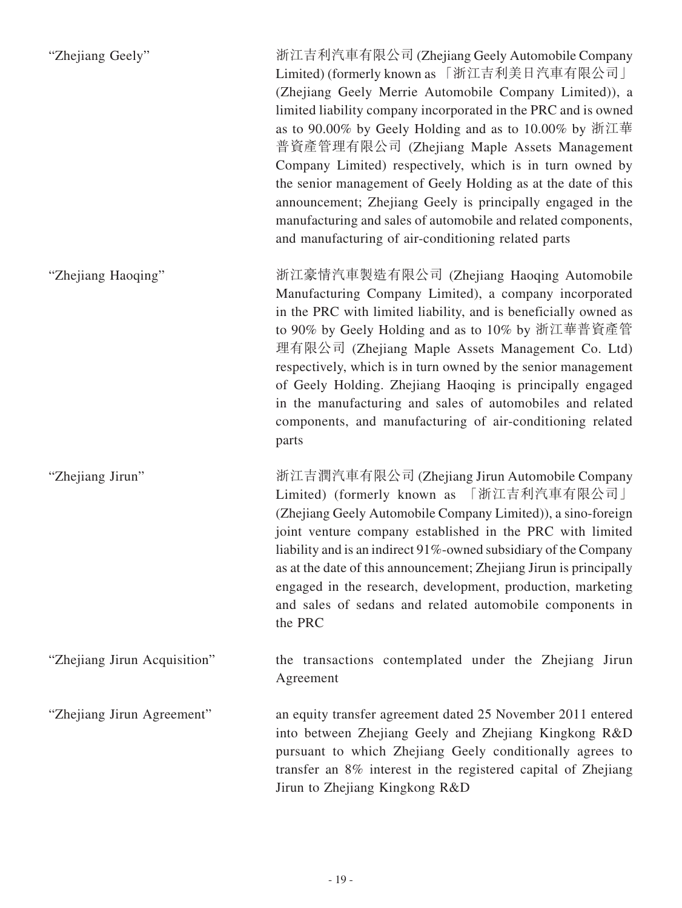| "Zhejiang Geely"             | 浙江吉利汽車有限公司 (Zhejiang Geely Automobile Company<br>Limited) (formerly known as 「浙江吉利美日汽車有限公司」<br>(Zhejiang Geely Merrie Automobile Company Limited)), a<br>limited liability company incorporated in the PRC and is owned<br>as to 90.00% by Geely Holding and as to 10.00% by 浙江華<br>普資產管理有限公司 (Zhejiang Maple Assets Management<br>Company Limited) respectively, which is in turn owned by<br>the senior management of Geely Holding as at the date of this<br>announcement; Zhejiang Geely is principally engaged in the<br>manufacturing and sales of automobile and related components,<br>and manufacturing of air-conditioning related parts |
|------------------------------|----------------------------------------------------------------------------------------------------------------------------------------------------------------------------------------------------------------------------------------------------------------------------------------------------------------------------------------------------------------------------------------------------------------------------------------------------------------------------------------------------------------------------------------------------------------------------------------------------------------------------------------------------|
| "Zhejiang Haoqing"           | 浙江豪情汽車製造有限公司 (Zhejiang Haoqing Automobile<br>Manufacturing Company Limited), a company incorporated<br>in the PRC with limited liability, and is beneficially owned as<br>to 90% by Geely Holding and as to 10% by 浙江華普資產管<br>理有限公司 (Zhejiang Maple Assets Management Co. Ltd)<br>respectively, which is in turn owned by the senior management<br>of Geely Holding. Zhejiang Haoqing is principally engaged<br>in the manufacturing and sales of automobiles and related<br>components, and manufacturing of air-conditioning related<br>parts                                                                                                    |
| "Zhejiang Jirun"             | 浙江吉潤汽車有限公司 (Zhejiang Jirun Automobile Company<br>Limited) (formerly known as 「浙江吉利汽車有限公司」<br>(Zhejiang Geely Automobile Company Limited)), a sino-foreign<br>joint venture company established in the PRC with limited<br>liability and is an indirect 91%-owned subsidiary of the Company<br>as at the date of this announcement; Zhejiang Jirun is principally<br>engaged in the research, development, production, marketing<br>and sales of sedans and related automobile components in<br>the PRC                                                                                                                                             |
| "Zhejiang Jirun Acquisition" | the transactions contemplated under the Zhejiang Jirun<br>Agreement                                                                                                                                                                                                                                                                                                                                                                                                                                                                                                                                                                                |
| "Zhejiang Jirun Agreement"   | an equity transfer agreement dated 25 November 2011 entered<br>into between Zhejiang Geely and Zhejiang Kingkong R&D<br>pursuant to which Zhejiang Geely conditionally agrees to<br>transfer an 8% interest in the registered capital of Zhejiang<br>Jirun to Zhejiang Kingkong R&D                                                                                                                                                                                                                                                                                                                                                                |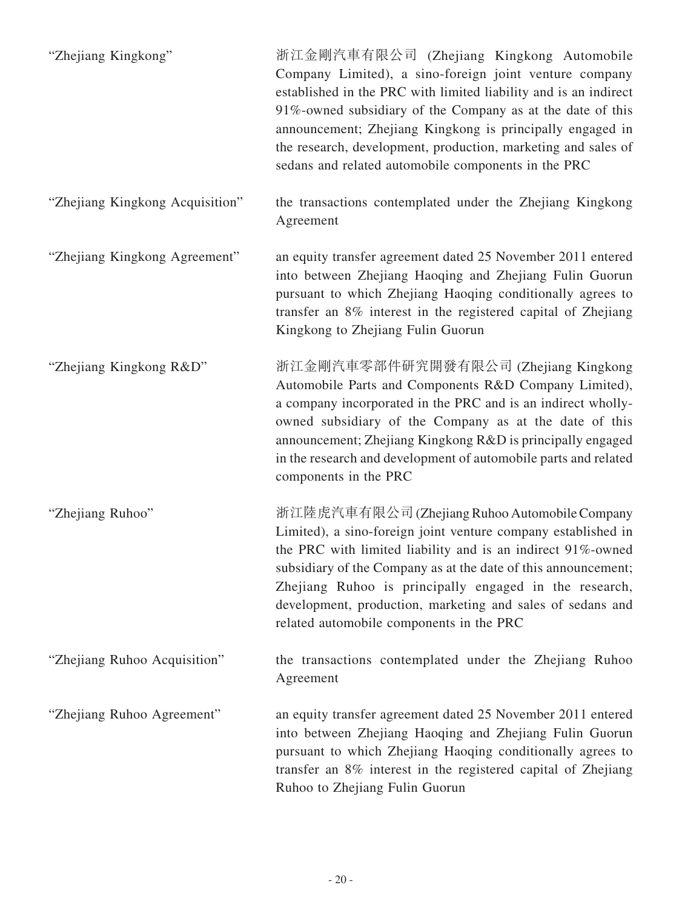| "Zhejiang Kingkong"             | 浙江金剛汽車有限公司 (Zhejiang Kingkong Automobile<br>Company Limited), a sino-foreign joint venture company<br>established in the PRC with limited liability and is an indirect<br>91%-owned subsidiary of the Company as at the date of this<br>announcement; Zhejiang Kingkong is principally engaged in<br>the research, development, production, marketing and sales of<br>sedans and related automobile components in the PRC |
|---------------------------------|---------------------------------------------------------------------------------------------------------------------------------------------------------------------------------------------------------------------------------------------------------------------------------------------------------------------------------------------------------------------------------------------------------------------------|
| "Zhejiang Kingkong Acquisition" | the transactions contemplated under the Zhejiang Kingkong<br>Agreement                                                                                                                                                                                                                                                                                                                                                    |
| "Zhejiang Kingkong Agreement"   | an equity transfer agreement dated 25 November 2011 entered<br>into between Zhejiang Haoqing and Zhejiang Fulin Guorun<br>pursuant to which Zhejiang Haoqing conditionally agrees to<br>transfer an 8% interest in the registered capital of Zhejiang<br>Kingkong to Zhejiang Fulin Guorun                                                                                                                                |
| "Zhejiang Kingkong R&D"         | 浙江金剛汽車零部件研究開發有限公司 (Zhejiang Kingkong<br>Automobile Parts and Components R&D Company Limited),<br>a company incorporated in the PRC and is an indirect wholly-<br>owned subsidiary of the Company as at the date of this<br>announcement; Zhejiang Kingkong R&D is principally engaged<br>in the research and development of automobile parts and related<br>components in the PRC                                         |
| "Zhejiang Ruhoo"                | 浙江陸虎汽車有限公司 (Zhejiang Ruhoo Automobile Company<br>Limited), a sino-foreign joint venture company established in<br>the PRC with limited liability and is an indirect 91%-owned<br>subsidiary of the Company as at the date of this announcement;<br>Zhejiang Ruhoo is principally engaged in the research,<br>development, production, marketing and sales of sedans and<br>related automobile components in the PRC       |
| "Zhejiang Ruhoo Acquisition"    | the transactions contemplated under the Zhejiang Ruhoo<br>Agreement                                                                                                                                                                                                                                                                                                                                                       |
| "Zhejiang Ruhoo Agreement"      | an equity transfer agreement dated 25 November 2011 entered<br>into between Zhejiang Haoqing and Zhejiang Fulin Guorun<br>pursuant to which Zhejiang Haoqing conditionally agrees to<br>transfer an 8% interest in the registered capital of Zhejiang<br>Ruhoo to Zhejiang Fulin Guorun                                                                                                                                   |